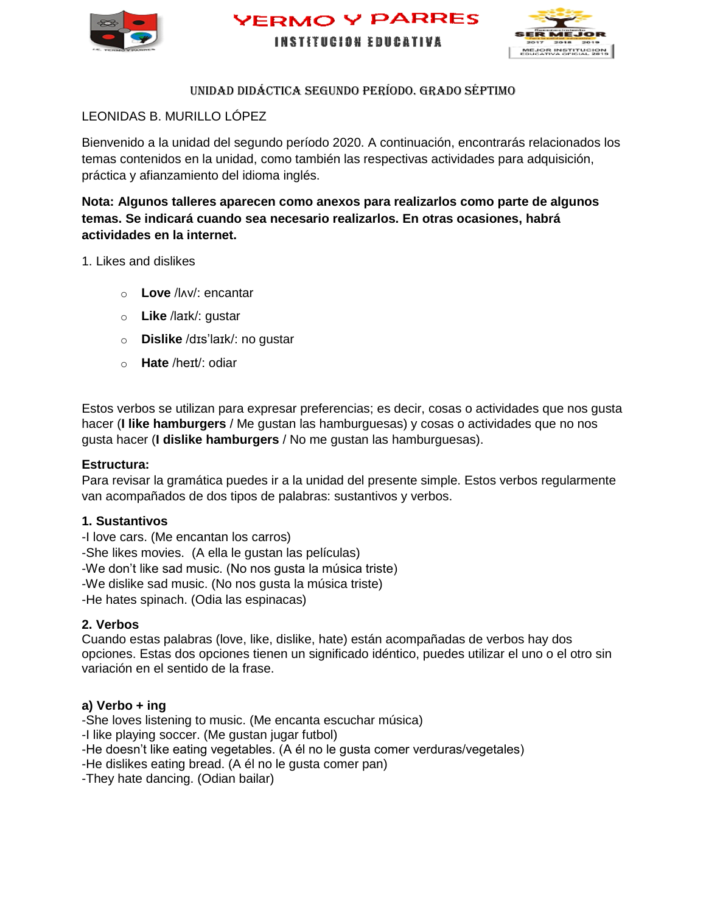





#### UNIDAD didáctica SEGUNDO PERÍODO. GRADO Séptimo

#### LEONIDAS B. MURILLO LÓPEZ

Bienvenido a la unidad del segundo período 2020. A continuación, encontrarás relacionados los temas contenidos en la unidad, como también las respectivas actividades para adquisición, práctica y afianzamiento del idioma inglés.

**Nota: Algunos talleres aparecen como anexos para realizarlos como parte de algunos temas. Se indicará cuando sea necesario realizarlos. En otras ocasiones, habrá actividades en la internet.** 

1. Likes and dislikes

- o **Love** /lʌv/: encantar
- o **Like** /laɪk/: gustar
- o **Dislike** /dɪs'laɪk/: no gustar
- o **Hate** /heɪt/: odiar

Estos verbos se utilizan para expresar preferencias; es decir, cosas o actividades que nos gusta hacer (**I like hamburgers** / Me gustan las hamburguesas) y cosas o actividades que no nos gusta hacer (**I dislike hamburgers** / No me gustan las hamburguesas).

#### **Estructura:**

Para revisar la gramática puedes ir a la unidad del presente simple. Estos verbos regularmente van acompañados de dos tipos de palabras: sustantivos y verbos.

#### **1. Sustantivos**

-I love cars. (Me encantan los carros)

-She likes movies. (A ella le gustan las películas)

-We don't like sad music. (No nos gusta la música triste)

-We dislike sad music. (No nos gusta la música triste)

-He hates spinach. (Odia las espinacas)

#### **2. Verbos**

Cuando estas palabras (love, like, dislike, hate) están acompañadas de verbos hay dos opciones. Estas dos opciones tienen un significado idéntico, puedes utilizar el uno o el otro sin variación en el sentido de la frase.

#### **a) Verbo + ing**

-She loves listening to music. (Me encanta escuchar música)

-I like playing soccer. (Me gustan jugar futbol)

-He doesn't like eating vegetables. (A él no le gusta comer verduras/vegetales)

-He dislikes eating bread. (A él no le gusta comer pan)

-They hate dancing. (Odian bailar)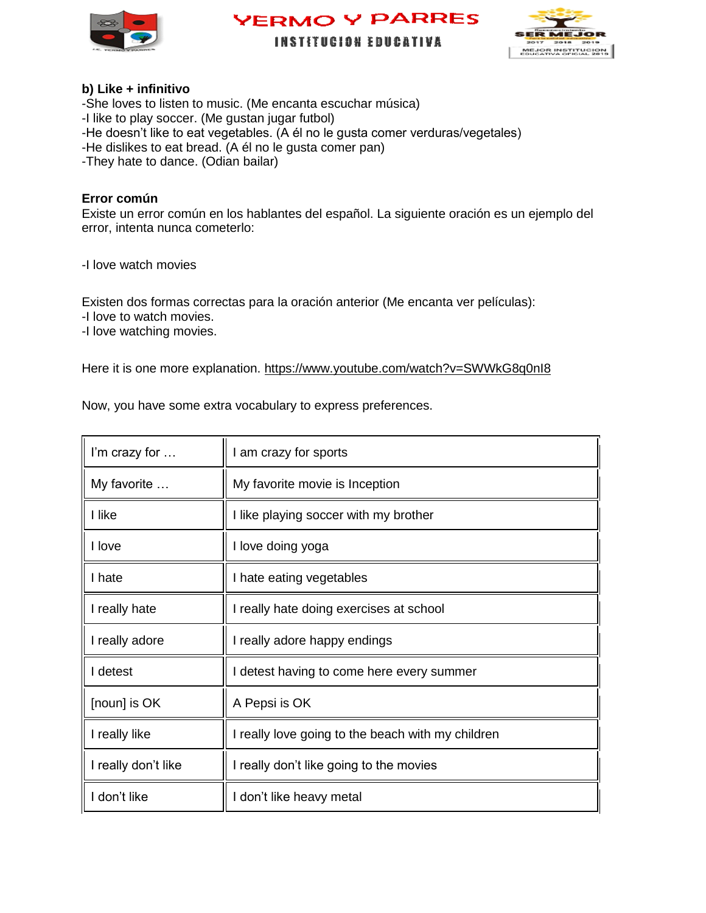





**INSTITUCION EDUCATIVA** 

#### **b) Like + infinitivo**

-She loves to listen to music. (Me encanta escuchar música) -I like to play soccer. (Me gustan jugar futbol) -He doesn't like to eat vegetables. (A él no le gusta comer verduras/vegetales) -He dislikes to eat bread. (A él no le gusta comer pan) -They hate to dance. (Odian bailar)

#### **Error común**

Existe un error común en los hablantes del español. La siguiente oración es un ejemplo del error, intenta nunca cometerlo:

-I love watch movies

Existen dos formas correctas para la oración anterior (Me encanta ver películas):

-I love to watch movies.

-I love watching movies.

Here it is one more explanation.<https://www.youtube.com/watch?v=SWWkG8q0nI8>

Now, you have some extra vocabulary to express preferences.

| I'm crazy for       | I am crazy for sports                             |
|---------------------|---------------------------------------------------|
| My favorite         | My favorite movie is Inception                    |
| I like              | I like playing soccer with my brother             |
| I love              | I love doing yoga                                 |
| I hate              | I hate eating vegetables                          |
| I really hate       | I really hate doing exercises at school           |
| I really adore      | I really adore happy endings                      |
| I detest            | I detest having to come here every summer         |
| [noun] is OK        | A Pepsi is OK                                     |
| I really like       | I really love going to the beach with my children |
| I really don't like | I really don't like going to the movies           |
| I don't like        | I don't like heavy metal                          |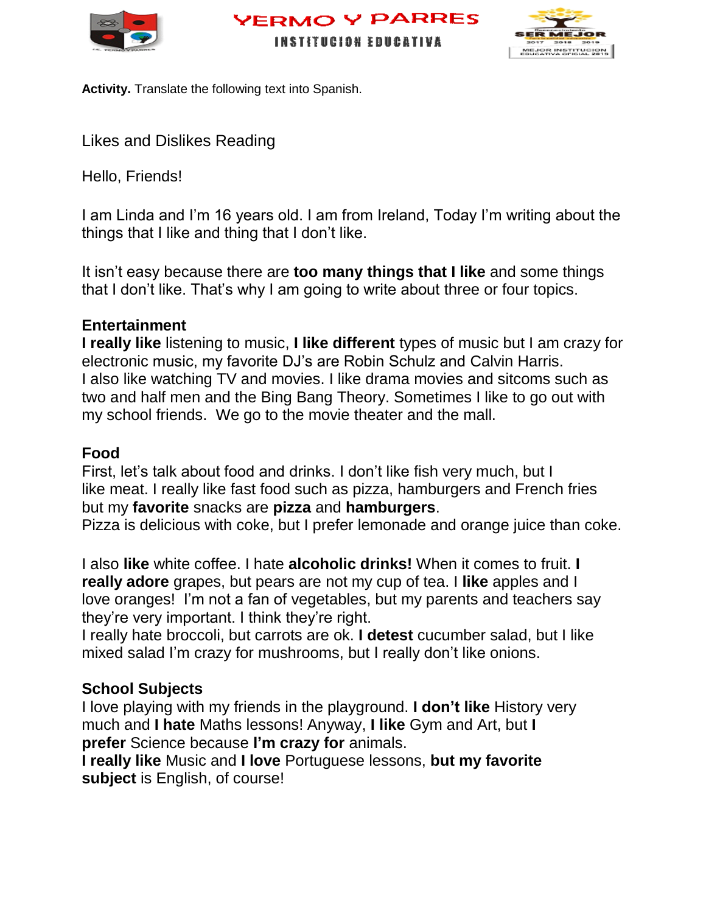





**Activity.** Translate the following text into Spanish.

Likes and Dislikes Reading

Hello, Friends!

I am Linda and I'm 16 years old. I am from Ireland, Today I'm writing about the things that I like and thing that I don't like.

It isn't easy because there are **too many things that I like** and some things that I don't like. That's why I am going to write about three or four topics.

## **Entertainment**

**I really like** listening to music, **I like different** types of music but I am crazy for electronic music, my favorite DJ's are Robin Schulz and Calvin Harris. I also like watching TV and movies. I like drama movies and sitcoms such as two and half men and the Bing Bang Theory. Sometimes I like to go out with my school friends. We go to the movie theater and the mall.

## **Food**

First, let's talk about food and drinks. I don't like fish very much, but I like meat. I really like fast food such as pizza, hamburgers and French fries but my **favorite** snacks are **pizza** and **hamburgers**.

Pizza is delicious with coke, but I prefer lemonade and orange juice than coke.

I also **like** white coffee. I hate **alcoholic drinks!** When it comes to fruit. **I really adore** grapes, but pears are not my cup of tea. I **like** apples and I love oranges! I'm not a fan of vegetables, but my parents and teachers say they're very important. I think they're right.

I really hate broccoli, but carrots are ok. **I detest** cucumber salad, but I like mixed salad I'm crazy for mushrooms, but I really don't like onions.

## **School Subjects**

I love playing with my friends in the playground. **I don't like** History very much and **I hate** Maths lessons! Anyway, **I like** Gym and Art, but **I prefer** Science because **I'm crazy for** animals.

**I really like** Music and **I love** Portuguese lessons, **but my favorite subject** is English, of course!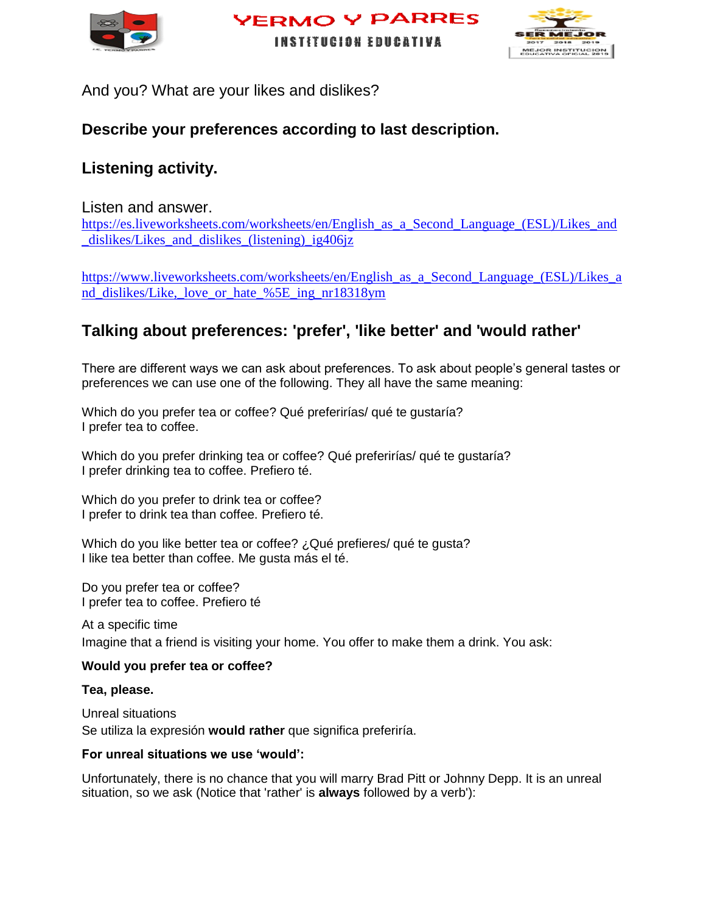



**INSTITUCION EDUCATIVA** 

And you? What are your likes and dislikes?

## **Describe your preferences according to last description.**

## **Listening activity.**

#### Listen and answer.

[https://es.liveworksheets.com/worksheets/en/English\\_as\\_a\\_Second\\_Language\\_\(ESL\)/Likes\\_and](https://es.liveworksheets.com/worksheets/en/English_as_a_Second_Language_(ESL)/Likes_and_dislikes/Likes_and_dislikes_(listening)_ig406jz) dislikes/Likes and dislikes (listening) ig406jz

[https://www.liveworksheets.com/worksheets/en/English\\_as\\_a\\_Second\\_Language\\_\(ESL\)/Likes\\_a](https://www.liveworksheets.com/worksheets/en/English_as_a_Second_Language_(ESL)/Likes_and_dislikes/Like,_love_or_hate_%5E_ing_nr18318ym) [nd\\_dislikes/Like,\\_love\\_or\\_hate\\_%5E\\_ing\\_nr18318ym](https://www.liveworksheets.com/worksheets/en/English_as_a_Second_Language_(ESL)/Likes_and_dislikes/Like,_love_or_hate_%5E_ing_nr18318ym)

## **Talking about preferences: 'prefer', 'like better' and 'would rather'**

There are different ways we can ask about preferences. To ask about people's general tastes or preferences we can use one of the following. They all have the same meaning:

Which do you prefer tea or coffee? Qué preferirías/ qué te gustaría? I prefer tea to coffee.

Which do you prefer drinking tea or coffee? Qué preferirías/ qué te gustaría? I prefer drinking tea to coffee. Prefiero té.

Which do you prefer to drink tea or coffee? I prefer to drink tea than coffee. Prefiero té.

Which do you like better tea or coffee? ¿Qué prefieres/ qué te gusta? I like tea better than coffee. Me gusta más el té.

Do you prefer tea or coffee? I prefer tea to coffee. Prefiero té

At a specific time Imagine that a friend is visiting your home. You offer to make them a drink. You ask:

#### **Would you prefer tea or coffee?**

**Tea, please.**

Unreal situations Se utiliza la expresión **would rather** que significa preferiría.

#### **For unreal situations we use 'would':**

Unfortunately, there is no chance that you will marry Brad Pitt or Johnny Depp. It is an unreal situation, so we ask (Notice that 'rather' is **always** followed by a verb'):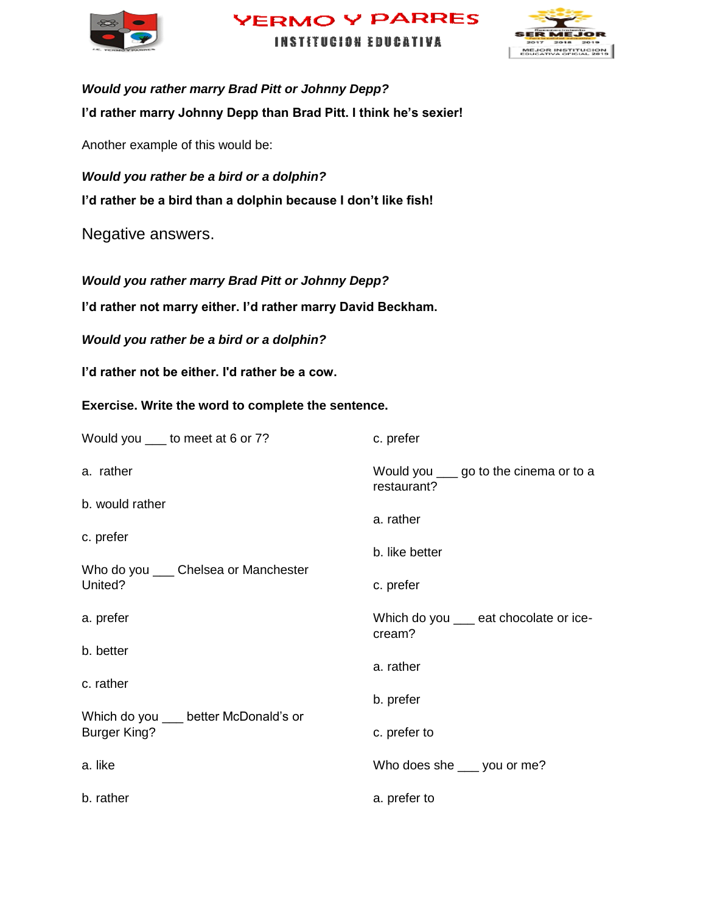





*Would you rather marry Brad Pitt or Johnny Depp?* **I'd rather marry Johnny Depp than Brad Pitt. I think he's sexier!**

Another example of this would be:

*Would you rather be a bird or a dolphin?* **I'd rather be a bird than a dolphin because I don't like fish!**

Negative answers.

*Would you rather marry Brad Pitt or Johnny Depp?*

**I'd rather not marry either. I'd rather marry David Beckham.**

*Would you rather be a bird or a dolphin?*

**I'd rather not be either. I'd rather be a cow.**

**Exercise. Write the word to complete the sentence.** 

| Would you ____ to meet at 6 or 7?                        | c. prefer                                              |
|----------------------------------------------------------|--------------------------------------------------------|
| a. rather                                                | Would you ____ go to the cinema or to a<br>restaurant? |
| b. would rather                                          |                                                        |
| c. prefer                                                | a. rather                                              |
|                                                          | b. like better                                         |
| Who do you ____ Chelsea or Manchester<br>United?         | c. prefer                                              |
| a. prefer                                                | Which do you __ eat chocolate or ice-<br>cream?        |
| b. better                                                | a. rather                                              |
| c. rather                                                |                                                        |
|                                                          | b. prefer                                              |
| Which do you better McDonald's or<br><b>Burger King?</b> | c. prefer to                                           |
| a. like                                                  | Who does she ___ you or me?                            |
| b. rather                                                | a. prefer to                                           |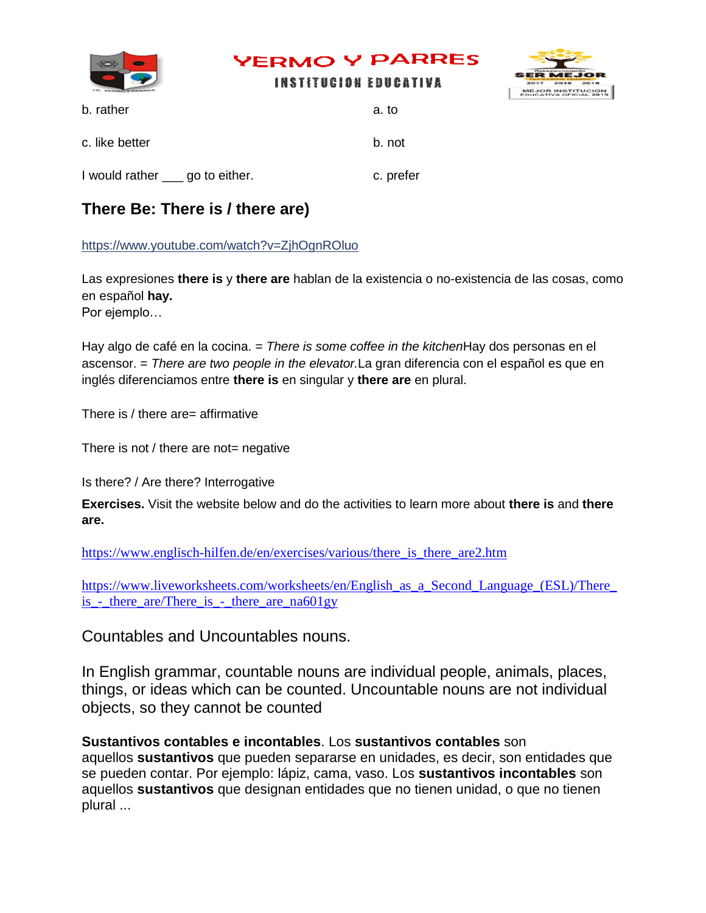

I would rather go to either. c. prefer

## **There Be: There is / there are)**

<https://www.youtube.com/watch?v=ZjhOgnROluo>

Las expresiones **there is** y **there are** hablan de la existencia o no-existencia de las cosas, como en español **hay.**

Por ejemplo…

Hay algo de café en la cocina. = *There is some coffee in the kitchen*Hay dos personas en el ascensor. = *There are two people in the elevator.*La gran diferencia con el español es que en inglés diferenciamos entre **there is** en singular y **there are** en plural.

There is / there are= affirmative

There is not / there are not= negative

Is there? / Are there? Interrogative

**Exercises.** Visit the website below and do the activities to learn more about **there is** and **there are.** 

https://www.englisch-hilfen.de/en/exercises/various/there is there are2.htm

[https://www.liveworksheets.com/worksheets/en/English\\_as\\_a\\_Second\\_Language\\_\(ESL\)/There\\_](https://www.liveworksheets.com/worksheets/en/English_as_a_Second_Language_(ESL)/There_is_-_there_are/There_is_-_there_are_na601gy) [is\\_-\\_there\\_are/There\\_is\\_-\\_there\\_are\\_na601gy](https://www.liveworksheets.com/worksheets/en/English_as_a_Second_Language_(ESL)/There_is_-_there_are/There_is_-_there_are_na601gy)

Countables and Uncountables nouns.

In English grammar, countable nouns are individual people, animals, places, things, or ideas which can be counted. Uncountable nouns are not individual objects, so they cannot be counted

**Sustantivos contables e incontables**. Los **sustantivos contables** son aquellos **sustantivos** que pueden separarse en unidades, es decir, son entidades que se pueden contar. Por ejemplo: lápiz, cama, vaso. Los **sustantivos incontables** son aquellos **sustantivos** que designan entidades que no tienen unidad, o que no tienen plural ...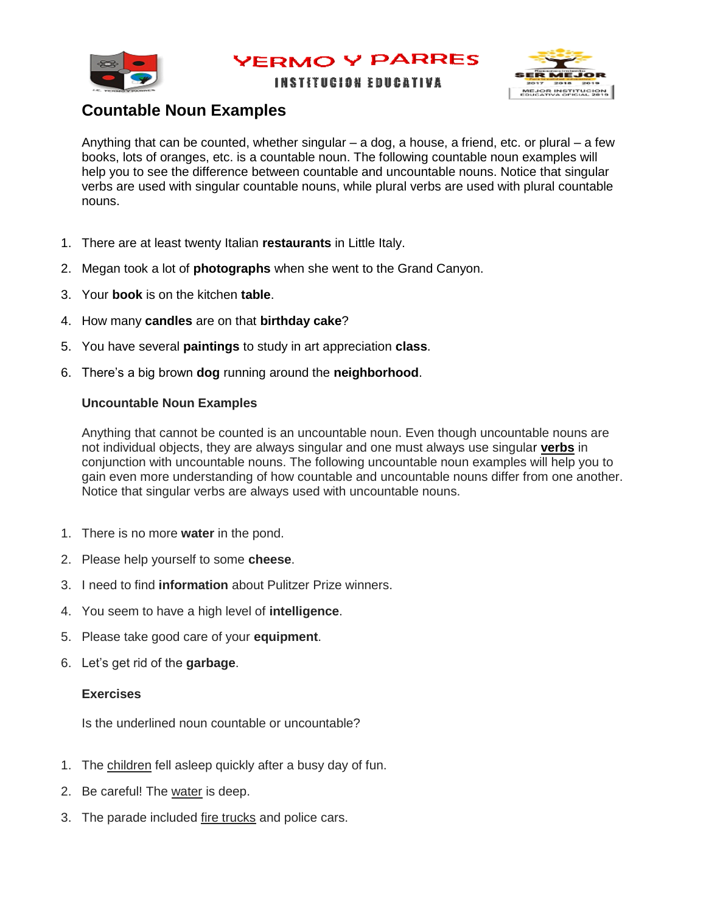

**INSTITUCION EDUCATIVA** 



## **Countable Noun Examples**

Anything that can be counted, whether singular  $-$  a dog, a house, a friend, etc. or plural  $-$  a few books, lots of oranges, etc. is a countable noun. The following countable noun examples will help you to see the difference between countable and uncountable nouns. Notice that singular verbs are used with singular countable nouns, while plural verbs are used with plural countable nouns.

- 1. There are at least twenty Italian **restaurants** in Little Italy.
- 2. Megan took a lot of **photographs** when she went to the Grand Canyon.
- 3. Your **book** is on the kitchen **table**.
- 4. How many **candles** are on that **birthday cake**?
- 5. You have several **paintings** to study in art appreciation **class**.
- 6. There's a big brown **dog** running around the **neighborhood**.

#### **Uncountable Noun Examples**

Anything that cannot be counted is an uncountable noun. Even though uncountable nouns are not individual objects, they are always singular and one must always use singular **[verbs](http://www.gingersoftware.com/content/grammar-rules/verbs/)** in conjunction with uncountable nouns. The following uncountable noun examples will help you to gain even more understanding of how countable and uncountable nouns differ from one another. Notice that singular verbs are always used with uncountable nouns.

- 1. There is no more **water** in the pond.
- 2. Please help yourself to some **cheese**.
- 3. I need to find **information** about Pulitzer Prize winners.
- 4. You seem to have a high level of **intelligence**.
- 5. Please take good care of your **equipment**.
- 6. Let's get rid of the **garbage**.

#### **Exercises**

Is the underlined noun countable or uncountable?

- 1. The children fell asleep quickly after a busy day of fun.
- 2. Be careful! The water is deep.
- 3. The parade included fire trucks and police cars.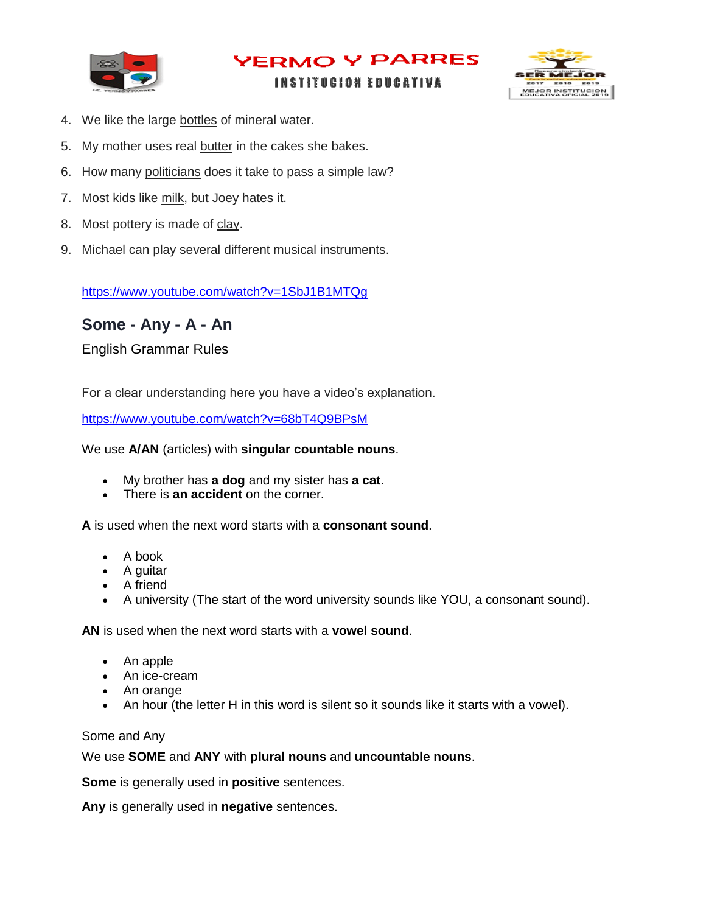

#### **INSTITUCION EDUCATIVA**



- 4. We like the large bottles of mineral water.
- 5. My mother uses real butter in the cakes she bakes.
- 6. How many politicians does it take to pass a simple law?
- 7. Most kids like milk, but Joey hates it.
- 8. Most pottery is made of clay.
- 9. Michael can play several different musical instruments.

<https://www.youtube.com/watch?v=1SbJ1B1MTQg>

## **Some - Any - A - An**

English Grammar Rules

For a clear understanding here you have a video's explanation.

<https://www.youtube.com/watch?v=68bT4Q9BPsM>

#### We use **A/AN** (articles) with **singular countable nouns**.

- My brother has **a dog** and my sister has **a cat**.
- There is **an accident** on the corner.

**A** is used when the next word starts with a **consonant sound**.

- A book
- A guitar
- A friend
- A university (The start of the word university sounds like YOU, a consonant sound).

**AN** is used when the next word starts with a **vowel sound**.

- An apple
- An ice-cream
- An orange
- An hour (the letter H in this word is silent so it sounds like it starts with a vowel).

Some and Any

We use **SOME** and **ANY** with **plural nouns** and **uncountable nouns**.

**Some** is generally used in **positive** sentences.

**Any** is generally used in **negative** sentences.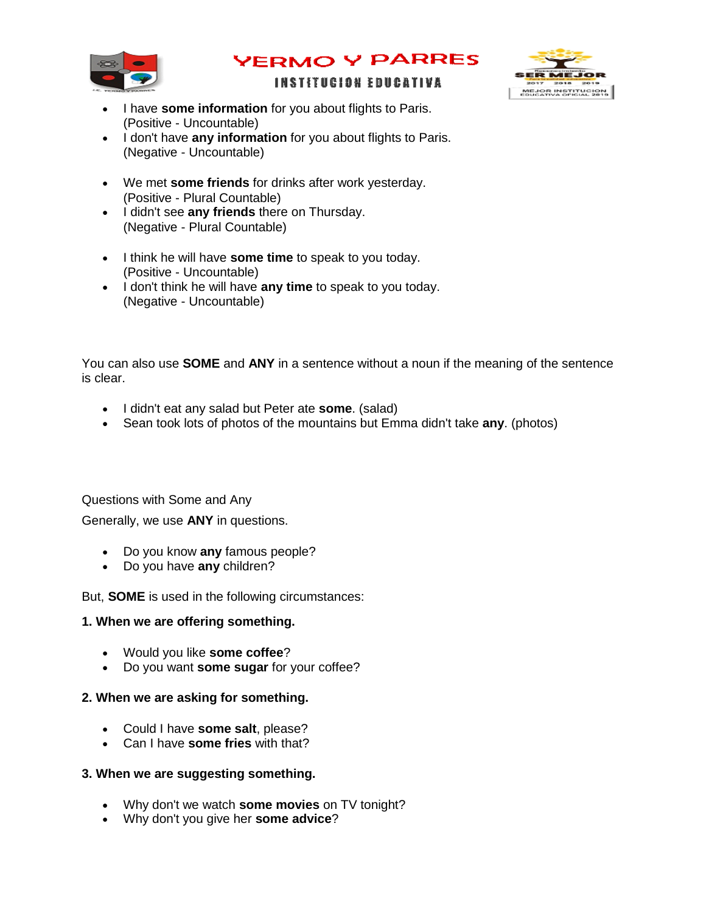

# MEJOR INSTITUCION

#### **INSTITUCION EDUCATIVA**

- I have **some information** for you about flights to Paris. (Positive - Uncountable)
- $\bullet$  I don't have any information for you about flights to Paris. (Negative - Uncountable)
- We met **some friends** for drinks after work yesterday. (Positive - Plural Countable)
- $\bullet$  I didn't see any friends there on Thursday. (Negative - Plural Countable)
- I think he will have **some time** to speak to you today. (Positive - Uncountable)
- I don't think he will have **any time** to speak to you today. (Negative - Uncountable)

You can also use **SOME** and **ANY** in a sentence without a noun if the meaning of the sentence is clear.

- I didn't eat any salad but Peter ate **some**. (salad)
- Sean took lots of photos of the mountains but Emma didn't take **any**. (photos)

Questions with Some and Any

Generally, we use **ANY** in questions.

- Do you know **any** famous people?
- Do you have **any** children?

But, **SOME** is used in the following circumstances:

#### **1. When we are offering something.**

- Would you like **some coffee**?
- Do you want **some sugar** for your coffee?

#### **2. When we are asking for something.**

- Could I have **some salt**, please?
- Can I have **some fries** with that?

#### **3. When we are suggesting something.**

- Why don't we watch **some movies** on TV tonight?
- Why don't you give her **some advice**?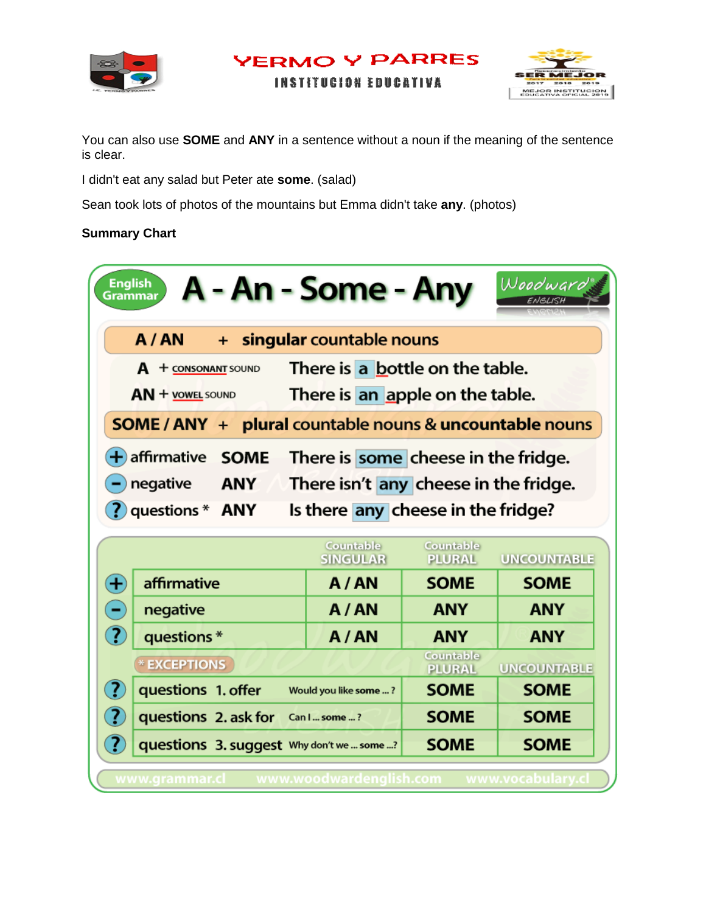



**INSTITUCION EDUCATIVA** 

You can also use **SOME** and **ANY** in a sentence without a noun if the meaning of the sentence is clear.

I didn't eat any salad but Peter ate **some**. (salad)

Sean took lots of photos of the mountains but Emma didn't take **any**. (photos)

#### **Summary Chart**

| <b>English</b><br>Grammar                                          | A - An - Some - Any                                                         |                            | Woodward                          |  |
|--------------------------------------------------------------------|-----------------------------------------------------------------------------|----------------------------|-----------------------------------|--|
| A/AN<br>$\ddot{}$                                                  | singular countable nouns                                                    |                            |                                   |  |
| $A + \frac{1}{2}$                                                  | There is a bottle on the table.                                             |                            |                                   |  |
| $AN +$ YOWEL SOUND                                                 | There is an apple on the table.                                             |                            |                                   |  |
| <b>SOME / ANY + plural countable nouns &amp; uncountable nouns</b> |                                                                             |                            |                                   |  |
| $+$ affirmative<br><b>SOME</b>                                     | There is some cheese in the fridge.                                         |                            |                                   |  |
|                                                                    |                                                                             |                            |                                   |  |
| negative<br><b>ANY</b>                                             |                                                                             |                            |                                   |  |
| ?) questions * ANY                                                 | There isn't any cheese in the fridge.<br>Is there any cheese in the fridge? |                            |                                   |  |
|                                                                    |                                                                             |                            |                                   |  |
|                                                                    | Countable<br><b>SINGULAR</b>                                                | Countable<br><b>PLURAL</b> |                                   |  |
| $\bigoplus$<br>affirmative                                         | A/AN                                                                        | <b>SOME</b>                | <b>SOME</b>                       |  |
| negative                                                           | A/AN                                                                        | <b>ANY</b>                 | <b>UNCOUNTABLE</b><br><b>ANY</b>  |  |
| (?<br>questions*                                                   | A/AN                                                                        | <b>ANY</b>                 | <b>ANY</b>                        |  |
| * EXCEPTIONS                                                       |                                                                             | Countable<br><b>PLURAL</b> |                                   |  |
| (?)<br>questions 1. offer                                          | Would you like some ?                                                       | <b>SOME</b>                | <b>UNCOUNTABLE</b><br><b>SOME</b> |  |
| ( ? )<br>questions 2. ask for                                      | Can I  some ?                                                               | <b>SOME</b>                | <b>SOME</b>                       |  |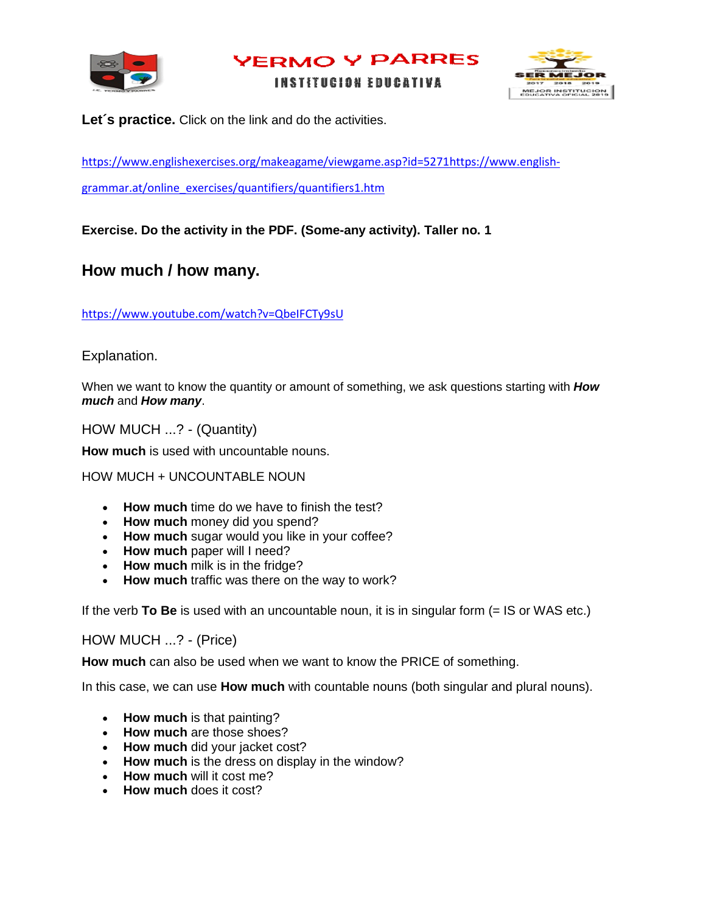

**INSTITUCION EDUCATIVA** 



Let's practice. Click on the link and do the activities.

[https://www.englishexercises.org/makeagame/viewgame.asp?id=5271https://www.english-](https://www.englishexercises.org/makeagame/viewgame.asp?id=5271)

[grammar.at/online\\_exercises/quantifiers/quantifiers1.htm](https://www.english-grammar.at/online_exercises/quantifiers/quantifiers1.htm)

**Exercise. Do the activity in the PDF. (Some-any activity). Taller no. 1**

### **How much / how many.**

<https://www.youtube.com/watch?v=QbeIFCTy9sU>

Explanation.

When we want to know the quantity or amount of something, we ask questions starting with *How much* and *How many*.

HOW MUCH ...? - (Quantity)

**How much** is used with uncountable nouns.

HOW MUCH + UNCOUNTABLE NOUN

- **How much** time do we have to finish the test?
- **How much** money did you spend?
- **How much** sugar would you like in your coffee?
- **How much** paper will I need?
- **How much** milk is in the fridge?
- **How much** traffic was there on the way to work?

If the verb **To Be** is used with an uncountable noun, it is in singular form (= IS or WAS etc.)

HOW MUCH ...? - (Price)

**How much** can also be used when we want to know the PRICE of something.

In this case, we can use **How much** with countable nouns (both singular and plural nouns).

- **How much** is that painting?
- **How much** are those shoes?
- **How much** did your jacket cost?
- **How much** is the dress on display in the window?
- **How much** will it cost me?
- **How much** does it cost?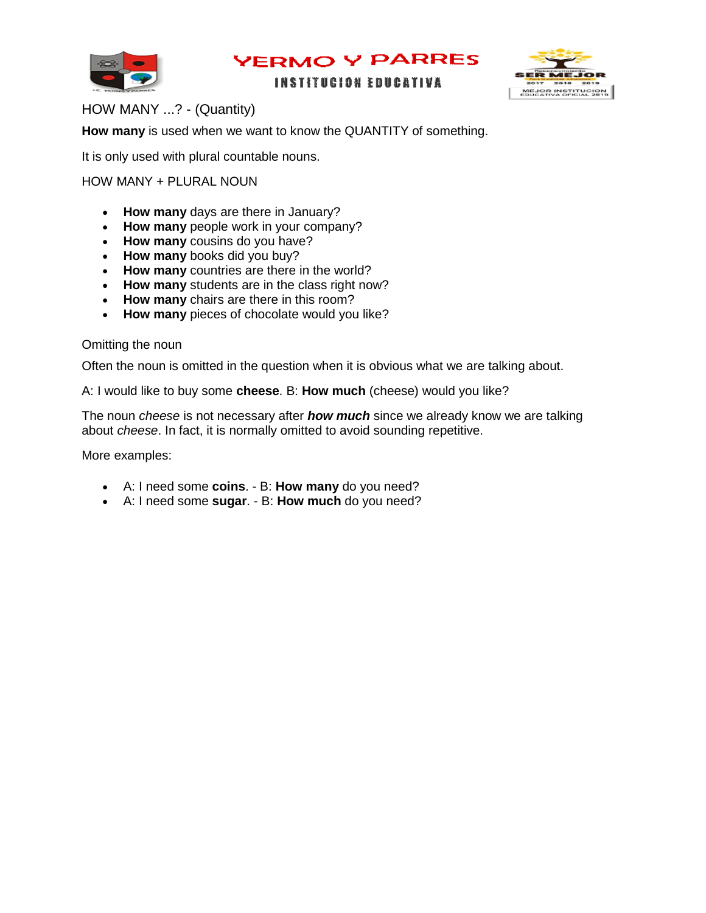

#### **INSTITUCION EDUCATIVA**



#### HOW MANY ...? - (Quantity)

**How many** is used when we want to know the QUANTITY of something.

It is only used with plural countable nouns.

#### HOW MANY + PLURAL NOUN

- **How many** days are there in January?
- **How many** people work in your company?
- **How many** cousins do you have?
- **How many** books did you buy?
- **How many** countries are there in the world?
- **How many** students are in the class right now?
- **How many** chairs are there in this room?
- **How many** pieces of chocolate would you like?

#### Omitting the noun

Often the noun is omitted in the question when it is obvious what we are talking about.

A: I would like to buy some **cheese**. B: **How much** (cheese) would you like?

The noun *cheese* is not necessary after *how much* since we already know we are talking about *cheese*. In fact, it is normally omitted to avoid sounding repetitive.

More examples:

- A: I need some **coins**. B: **How many** do you need?
- A: I need some **sugar**. B: **How much** do you need?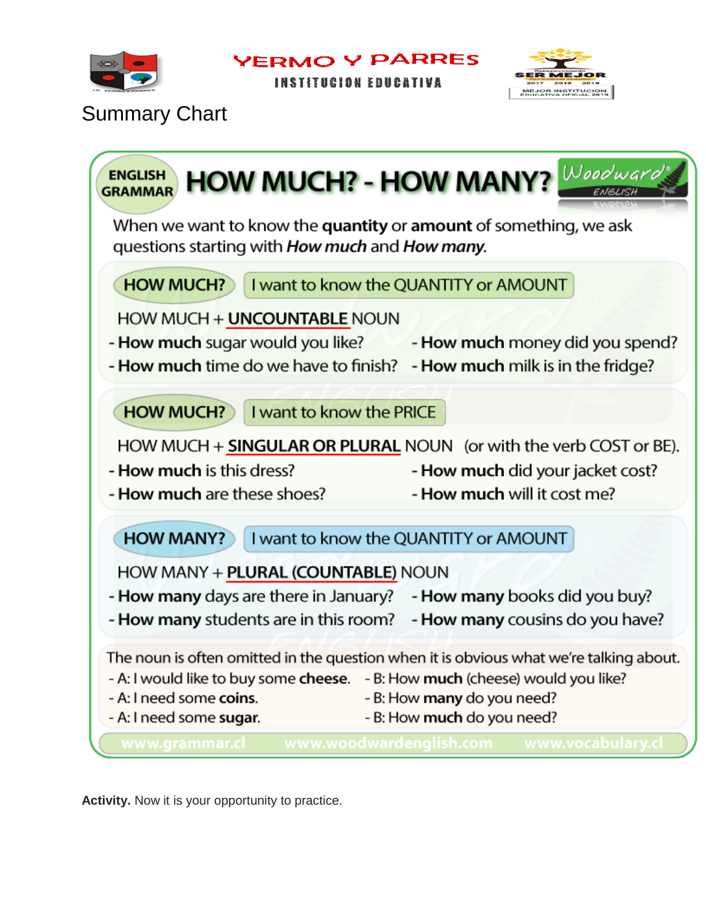

**INSTITUCION EDUCATIVA** 



## Summary Chart



**Activity.** Now it is your opportunity to practice.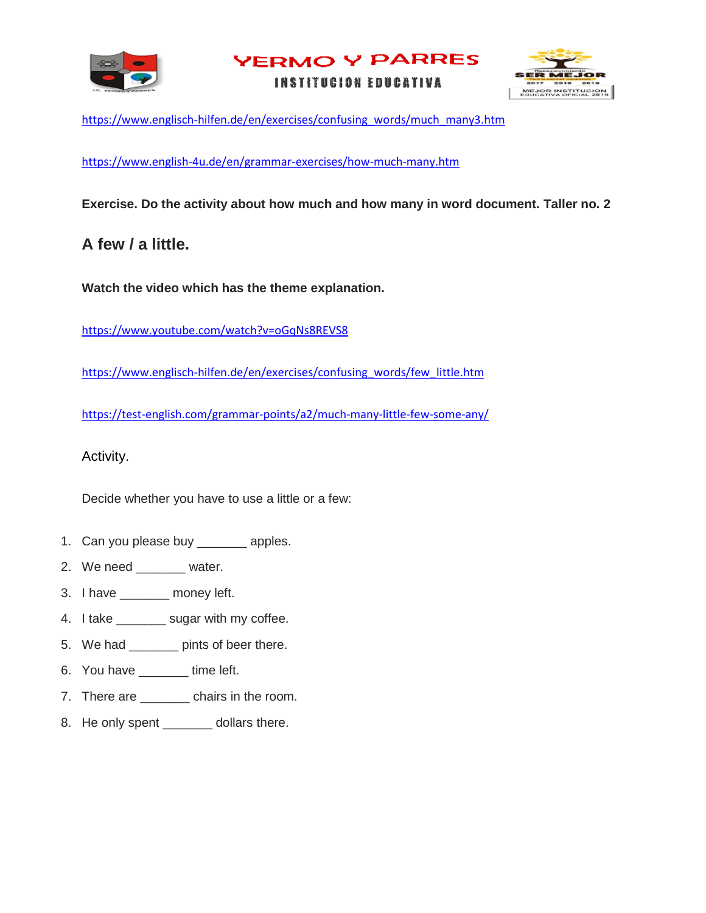

**INSTITUCION EDUCATIVA** 



[https://www.englisch-hilfen.de/en/exercises/confusing\\_words/much\\_many3.htm](https://www.englisch-hilfen.de/en/exercises/confusing_words/much_many3.htm)

<https://www.english-4u.de/en/grammar-exercises/how-much-many.htm>

**Exercise. Do the activity about how much and how many in word document. Taller no. 2**

## **A few / a little.**

**Watch the video which has the theme explanation.** 

<https://www.youtube.com/watch?v=oGqNs8REVS8>

[https://www.englisch-hilfen.de/en/exercises/confusing\\_words/few\\_little.htm](https://www.englisch-hilfen.de/en/exercises/confusing_words/few_little.htm)

<https://test-english.com/grammar-points/a2/much-many-little-few-some-any/>

Activity.

Decide whether you have to use a little or a few:

- 1. Can you please buy \_\_\_\_\_\_\_\_ apples.
- 2. We need \_\_\_\_\_\_\_\_ water.
- 3. I have \_\_\_\_\_\_\_ money left.
- 4. I take \_\_\_\_\_\_\_ sugar with my coffee.
- 5. We had \_\_\_\_\_\_\_ pints of beer there.
- 6. You have \_\_\_\_\_\_\_ time left.
- 7. There are \_\_\_\_\_\_\_ chairs in the room.
- 8. He only spent \_\_\_\_\_\_\_ dollars there.